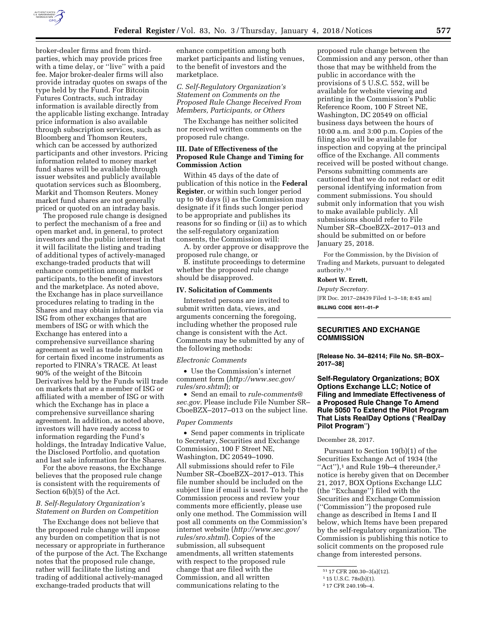

broker-dealer firms and from thirdparties, which may provide prices free with a time delay, or ''live'' with a paid fee. Major broker-dealer firms will also provide intraday quotes on swaps of the type held by the Fund. For Bitcoin Futures Contracts, such intraday information is available directly from the applicable listing exchange. Intraday price information is also available through subscription services, such as Bloomberg and Thomson Reuters, which can be accessed by authorized participants and other investors. Pricing information related to money market fund shares will be available through issuer websites and publicly available quotation services such as Bloomberg, Markit and Thomson Reuters. Money market fund shares are not generally priced or quoted on an intraday basis.

The proposed rule change is designed to perfect the mechanism of a free and open market and, in general, to protect investors and the public interest in that it will facilitate the listing and trading of additional types of actively-managed exchange-traded products that will enhance competition among market participants, to the benefit of investors and the marketplace. As noted above, the Exchange has in place surveillance procedures relating to trading in the Shares and may obtain information via ISG from other exchanges that are members of ISG or with which the Exchange has entered into a comprehensive surveillance sharing agreement as well as trade information for certain fixed income instruments as reported to FINRA's TRACE. At least 90% of the weight of the Bitcoin Derivatives held by the Funds will trade on markets that are a member of ISG or affiliated with a member of ISG or with which the Exchange has in place a comprehensive surveillance sharing agreement. In addition, as noted above, investors will have ready access to information regarding the Fund's holdings, the Intraday Indicative Value, the Disclosed Portfolio, and quotation and last sale information for the Shares.

For the above reasons, the Exchange believes that the proposed rule change is consistent with the requirements of Section 6(b)(5) of the Act.

### *B. Self-Regulatory Organization's Statement on Burden on Competition*

The Exchange does not believe that the proposed rule change will impose any burden on competition that is not necessary or appropriate in furtherance of the purpose of the Act. The Exchange notes that the proposed rule change, rather will facilitate the listing and trading of additional actively-managed exchange-traded products that will

enhance competition among both market participants and listing venues, to the benefit of investors and the marketplace.

# *C. Self-Regulatory Organization's Statement on Comments on the Proposed Rule Change Received From Members, Participants, or Others*

The Exchange has neither solicited nor received written comments on the proposed rule change.

# **III. Date of Effectiveness of the Proposed Rule Change and Timing for Commission Action**

Within 45 days of the date of publication of this notice in the **Federal Register**, or within such longer period up to 90 days (i) as the Commission may designate if it finds such longer period to be appropriate and publishes its reasons for so finding or (ii) as to which the self-regulatory organization consents, the Commission will:

A. by order approve or disapprove the proposed rule change, or

B. institute proceedings to determine whether the proposed rule change should be disapproved.

## **IV. Solicitation of Comments**

Interested persons are invited to submit written data, views, and arguments concerning the foregoing, including whether the proposed rule change is consistent with the Act. Comments may be submitted by any of the following methods:

#### *Electronic Comments*

• Use the Commission's internet comment form (*[http://www.sec.gov/](http://www.sec.gov/rules/sro.shtml)  [rules/sro.shtml](http://www.sec.gov/rules/sro.shtml)*); or

• Send an email to *[rule-comments@](mailto:rule-comments@sec.gov) [sec.gov.](mailto:rule-comments@sec.gov)* Please include File Number SR– CboeBZX–2017–013 on the subject line.

#### *Paper Comments*

• Send paper comments in triplicate to Secretary, Securities and Exchange Commission, 100 F Street NE, Washington, DC 20549–1090. All submissions should refer to File Number SR–CboeBZX–2017–013. This file number should be included on the subject line if email is used. To help the Commission process and review your comments more efficiently, please use only one method. The Commission will post all comments on the Commission's internet website (*[http://www.sec.gov/](http://www.sec.gov/rules/sro.shtml)  [rules/sro.shtml](http://www.sec.gov/rules/sro.shtml)*). Copies of the submission, all subsequent amendments, all written statements with respect to the proposed rule change that are filed with the Commission, and all written communications relating to the

proposed rule change between the Commission and any person, other than those that may be withheld from the public in accordance with the provisions of 5 U.S.C. 552, will be available for website viewing and printing in the Commission's Public Reference Room, 100 F Street NE, Washington, DC 20549 on official business days between the hours of 10:00 a.m. and 3:00 p.m. Copies of the filing also will be available for inspection and copying at the principal office of the Exchange. All comments received will be posted without change. Persons submitting comments are cautioned that we do not redact or edit personal identifying information from comment submissions. You should submit only information that you wish to make available publicly. All submissions should refer to File Number SR–CboeBZX–2017–013 and should be submitted on or before January 25, 2018.

For the Commission, by the Division of Trading and Markets, pursuant to delegated authority.51

# **Robert W. Errett,**

*Deputy Secretary.*  [FR Doc. 2017–28439 Filed 1–3–18; 8:45 am]

**BILLING CODE 8011–01–P** 

# **SECURITIES AND EXCHANGE COMMISSION**

**[Release No. 34–82414; File No. SR–BOX– 2017–38]** 

**Self-Regulatory Organizations; BOX Options Exchange LLC; Notice of Filing and Immediate Effectiveness of a Proposed Rule Change To Amend Rule 5050 To Extend the Pilot Program That Lists RealDay Options (**''**RealDay Pilot Program**''**)** 

December 28, 2017.

Pursuant to Section 19(b)(1) of the Securities Exchange Act of 1934 (the "Act"),<sup>1</sup> and Rule 19b-4 thereunder,<sup>2</sup> notice is hereby given that on December 21, 2017, BOX Options Exchange LLC (the ''Exchange'') filed with the Securities and Exchange Commission (''Commission'') the proposed rule change as described in Items I and II below, which Items have been prepared by the self-regulatory organization. The Commission is publishing this notice to solicit comments on the proposed rule change from interested persons.

<sup>51</sup> 17 CFR 200.30–3(a)(12).

<sup>1</sup> 15 U.S.C. 78s(b)(1).

<sup>2</sup> 17 CFR 240.19b–4.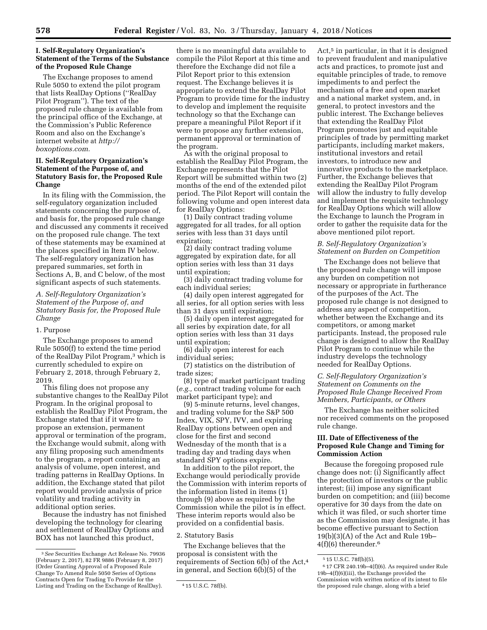## **I. Self-Regulatory Organization's Statement of the Terms of the Substance of the Proposed Rule Change**

The Exchange proposes to amend Rule 5050 to extend the pilot program that lists RealDay Options (''RealDay Pilot Program''). The text of the proposed rule change is available from the principal office of the Exchange, at the Commission's Public Reference Room and also on the Exchange's internet website at *[http://](http://boxoptions.com) [boxoptions.com.](http://boxoptions.com)* 

# **II. Self-Regulatory Organization's Statement of the Purpose of, and Statutory Basis for, the Proposed Rule Change**

In its filing with the Commission, the self-regulatory organization included statements concerning the purpose of, and basis for, the proposed rule change and discussed any comments it received on the proposed rule change. The text of these statements may be examined at the places specified in Item IV below. The self-regulatory organization has prepared summaries, set forth in Sections A, B, and C below, of the most significant aspects of such statements.

## *A. Self-Regulatory Organization's Statement of the Purpose of, and Statutory Basis for, the Proposed Rule Change*

1. Purpose

The Exchange proposes to amend Rule 5050(f) to extend the time period of the RealDay Pilot Program,3 which is currently scheduled to expire on February 2, 2018, through February 2, 2019.

This filing does not propose any substantive changes to the RealDay Pilot Program. In the original proposal to establish the RealDay Pilot Program, the Exchange stated that if it were to propose an extension, permanent approval or termination of the program, the Exchange would submit, along with any filing proposing such amendments to the program, a report containing an analysis of volume, open interest, and trading patterns in RealDay Options. In addition, the Exchange stated that pilot report would provide analysis of price volatility and trading activity in additional option series.

Because the industry has not finished developing the technology for clearing and settlement of RealDay Options and BOX has not launched this product,

there is no meaningful data available to compile the Pilot Report at this time and therefore the Exchange did not file a Pilot Report prior to this extension request. The Exchange believes it is appropriate to extend the RealDay Pilot Program to provide time for the industry to develop and implement the requisite technology so that the Exchange can prepare a meaningful Pilot Report if it were to propose any further extension, permanent approval or termination of the program.

As with the original proposal to establish the RealDay Pilot Program, the Exchange represents that the Pilot Report will be submitted within two (2) months of the end of the extended pilot period. The Pilot Report will contain the following volume and open interest data for RealDay Options:

(1) Daily contract trading volume aggregated for all trades, for all option series with less than 31 days until expiration;

(2) daily contract trading volume aggregated by expiration date, for all option series with less than 31 days until expiration;

(3) daily contract trading volume for each individual series;

(4) daily open interest aggregated for all series, for all option series with less than 31 days until expiration;

(5) daily open interest aggregated for all series by expiration date, for all option series with less than 31 days until expiration;

(6) daily open interest for each individual series;

(7) statistics on the distribution of trade sizes;

(8) type of market participant trading (*e.g.,* contract trading volume for each market participant type); and

(9) 5-minute returns, level changes, and trading volume for the S&P 500 Index, VIX, SPY, IVV, and expiring RealDay options between open and close for the first and second Wednesday of the month that is a trading day and trading days when standard SPY options expire.

In addition to the pilot report, the Exchange would periodically provide the Commission with interim reports of the information listed in items (1) through (9) above as required by the Commission while the pilot is in effect. These interim reports would also be provided on a confidential basis.

#### 2. Statutory Basis

The Exchange believes that the proposal is consistent with the requirements of Section 6(b) of the Act,4 in general, and Section 6(b)(5) of the

Act,<sup>5</sup> in particular, in that it is designed to prevent fraudulent and manipulative acts and practices, to promote just and equitable principles of trade, to remove impediments to and perfect the mechanism of a free and open market and a national market system, and, in general, to protect investors and the public interest. The Exchange believes that extending the RealDay Pilot Program promotes just and equitable principles of trade by permitting market participants, including market makers, institutional investors and retail investors, to introduce new and innovative products to the marketplace. Further, the Exchange believes that extending the RealDay Pilot Program will allow the industry to fully develop and implement the requisite technology for RealDay Options which will allow the Exchange to launch the Program in order to gather the requisite data for the above mentioned pilot report.

#### *B. Self-Regulatory Organization's Statement on Burden on Competition*

The Exchange does not believe that the proposed rule change will impose any burden on competition not necessary or appropriate in furtherance of the purposes of the Act. The proposed rule change is not designed to address any aspect of competition, whether between the Exchange and its competitors, or among market participants. Instead, the proposed rule change is designed to allow the RealDay Pilot Program to continue while the industry develops the technology needed for RealDay Options.

## *C. Self-Regulatory Organization's Statement on Comments on the Proposed Rule Change Received From Members, Participants, or Others*

The Exchange has neither solicited nor received comments on the proposed rule change.

# **III. Date of Effectiveness of the Proposed Rule Change and Timing for Commission Action**

Because the foregoing proposed rule change does not: (i) Significantly affect the protection of investors or the public interest; (ii) impose any significant burden on competition; and (iii) become operative for 30 days from the date on which it was filed, or such shorter time as the Commission may designate, it has become effective pursuant to Section 19(b)(3)(A) of the Act and Rule 19b– 4(f)(6) thereunder.6

<sup>3</sup>*See* Securities Exchange Act Release No. 79936 (February 2, 2017), 82 FR 9886 (February 8, 2017) (Order Granting Approval of a Proposed Rule Change To Amend Rule 5050 Series of Options Contracts Open for Trading To Provide for the Listing and Trading on the Exchange of RealDay). 415 U.S.C. 78f(b).

<sup>5</sup> 15 U.S.C. 78f(b)(5).

<sup>6</sup> 17 CFR 240.19b–4(f)(6). As required under Rule 19b–4(f)(6)(iii), the Exchange provided the Commission with written notice of its intent to file the proposed rule change, along with a brief